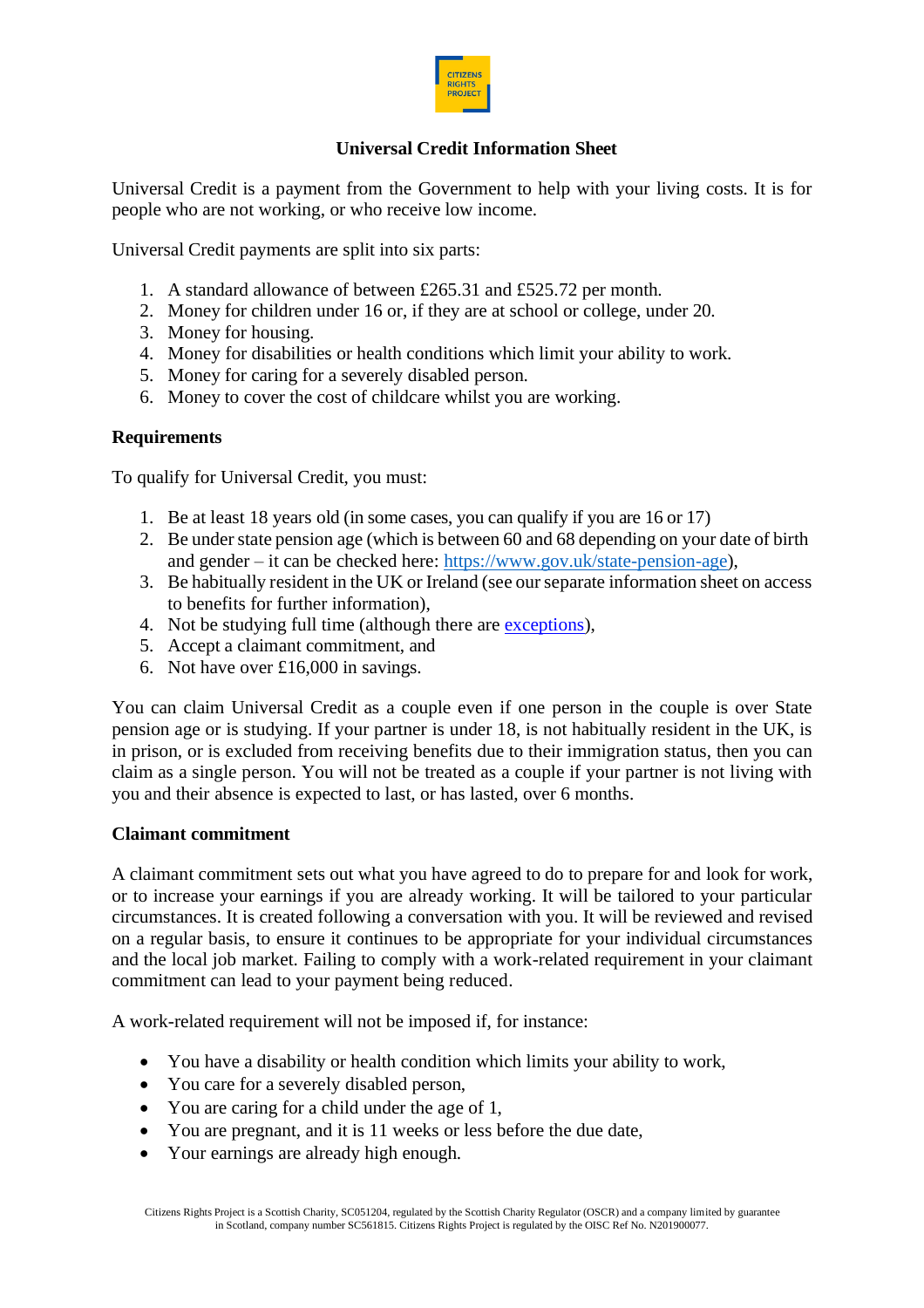

# **Universal Credit Information Sheet**

Universal Credit is a payment from the Government to help with your living costs. It is for people who are not working, or who receive low income.

Universal Credit payments are split into six parts:

- 1. A standard allowance of between £265.31 and £525.72 per month.
- 2. Money for children under 16 or, if they are at school or college, under 20.
- 3. Money for housing.
- 4. Money for disabilities or health conditions which limit your ability to work.
- 5. Money for caring for a severely disabled person.
- 6. Money to cover the cost of childcare whilst you are working.

# **Requirements**

To qualify for Universal Credit, you must:

- 1. Be at least 18 years old (in some cases, you can qualify if you are 16 or 17)
- 2. Be under state pension age (which is between 60 and 68 depending on your date of birth and gender – it can be checked here: https:/[/www.gov.uk/state-pension-age\),](about:blank)
- 3. Be habitually resident in the UK or Ireland (see ourseparate information sheet on access to benefits for further information),
- 4. Not be studying full time (although there are [exceptions\)](https://www.gov.uk/guidance/universal-credit-and-students),
- 5. Accept a claimant commitment, and
- 6. Not have over £16,000 in savings.

You can claim Universal Credit as a couple even if one person in the couple is over State pension age or is studying. If your partner is under 18, is not habitually resident in the UK, is in prison, or is excluded from receiving benefits due to their immigration status, then you can claim as a single person. You will not be treated as a couple if your partner is not living with you and their absence is expected to last, or has lasted, over 6 months.

### **Claimant commitment**

A claimant commitment sets out what you have agreed to do to prepare for and look for work, or to increase your earnings if you are already working. It will be tailored to your particular circumstances. It is created following a conversation with you. It will be reviewed and revised on a regular basis, to ensure it continues to be appropriate for your individual circumstances and the local job market. Failing to comply with a work-related requirement in your claimant commitment can lead to your payment being reduced.

A work-related requirement will not be imposed if, for instance:

- You have a disability or health condition which limits your ability to work,
- You care for a severely disabled person,
- You are caring for a child under the age of 1,
- You are pregnant, and it is 11 weeks or less before the due date,
- Your earnings are already high enough.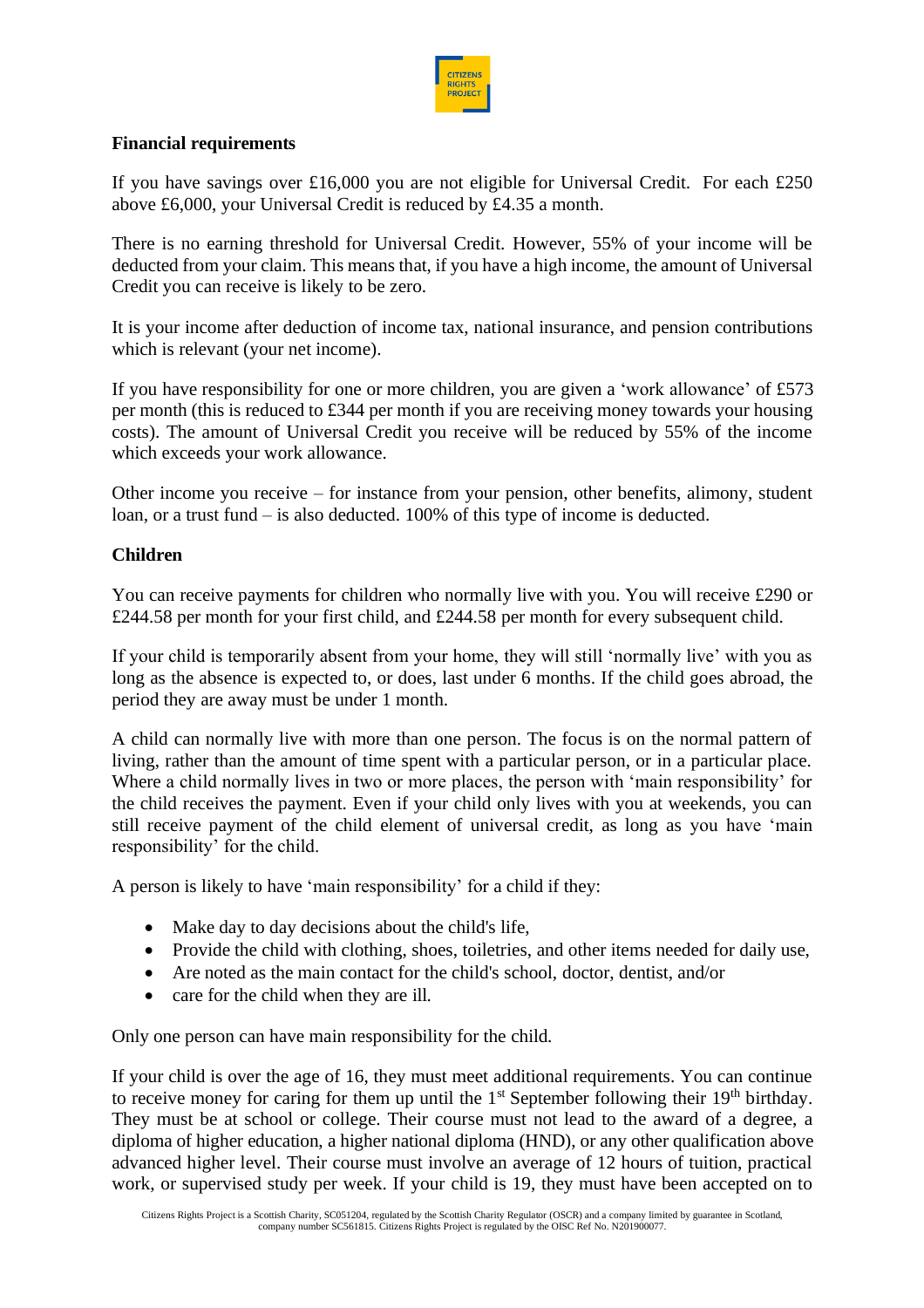

# **Financial requirements**

If you have savings over £16,000 you are not eligible for Universal Credit. For each £250 above £6,000, your Universal Credit is reduced by £4.35 a month.

There is no earning threshold for Universal Credit. However, 55% of your income will be deducted from your claim. This means that, if you have a high income, the amount of Universal Credit you can receive is likely to be zero.

It is your income after deduction of income tax, national insurance, and pension contributions which is relevant (your net income).

If you have responsibility for one or more children, you are given a 'work allowance' of £573 per month (this is reduced to £344 per month if you are receiving money towards your housing costs). The amount of Universal Credit you receive will be reduced by 55% of the income which exceeds your work allowance.

Other income you receive – for instance from your pension, other benefits, alimony, student loan, or a trust fund – is also deducted. 100% of this type of income is deducted.

# **Children**

You can receive payments for children who normally live with you. You will receive £290 or £244.58 per month for your first child, and £244.58 per month for every subsequent child.

If your child is temporarily absent from your home, they will still 'normally live' with you as long as the absence is expected to, or does, last under 6 months. If the child goes abroad, the period they are away must be under 1 month.

A child can normally live with more than one person. The focus is on the normal pattern of living, rather than the amount of time spent with a particular person, or in a particular place. Where a child normally lives in two or more places, the person with 'main responsibility' for the child receives the payment. Even if your child only lives with you at weekends, you can still receive payment of the child element of universal credit, as long as you have 'main responsibility' for the child.

A person is likely to have 'main responsibility' for a child if they:

- Make day to day decisions about the child's life.
- Provide the child with clothing, shoes, toiletries, and other items needed for daily use,
- Are noted as the main contact for the child's school, doctor, dentist, and/or
- care for the child when they are ill.

Only one person can have main responsibility for the child.

If your child is over the age of 16, they must meet additional requirements. You can continue to receive money for caring for them up until the  $1<sup>st</sup>$  September following their  $19<sup>th</sup>$  birthday. They must be at school or college. Their course must not lead to the award of a degree, a diploma of higher education, a higher national diploma (HND), or any other qualification above advanced higher level. Their course must involve an average of 12 hours of tuition, practical work, or supervised study per week. If your child is 19, they must have been accepted on to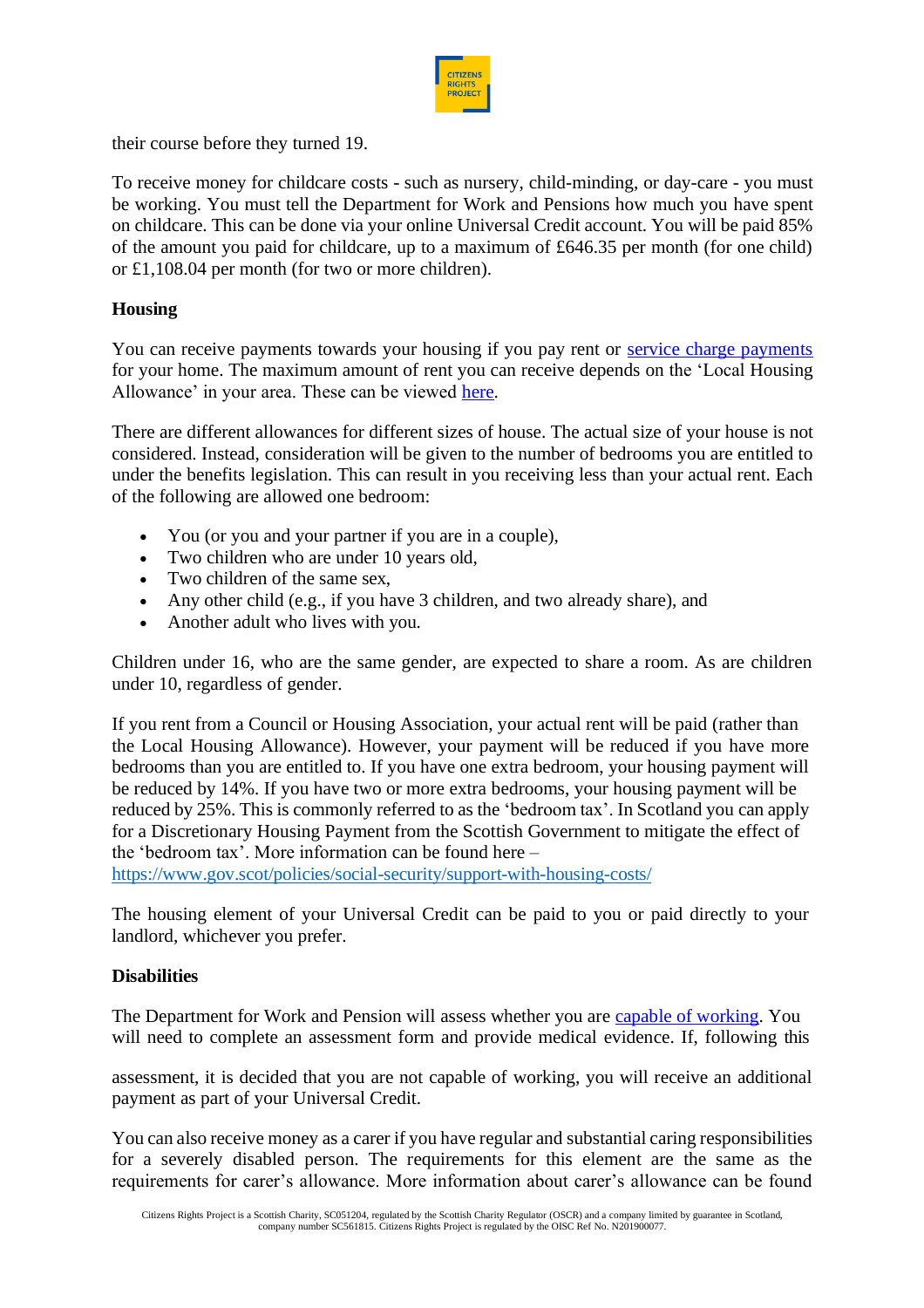

their course before they turned 19.

To receive money for childcare costs - such as nursery, child-minding, or day-care - you must be working. You must tell the Department for Work and Pensions how much you have spent on childcare. This can be done via your online Universal Credit account. You will be paid 85% of the amount you paid for childcare, up to a maximum of £646.35 per month (for one child) or £1,108.04 per month (for two or more children).

# **Housing**

You can receive payments towards your housing if you pay rent or [service charge payments](https://www.gov.uk/government/publications/universal-credit-service-charges-guidance-for-landlords/universal-credit-service-charges-guidance-for-landlords#exhaustive-list-of-eligible-service-charges) for your home. The maximum amount of rent you can receive depends on the 'Local Housing Allowance' in your area. These can be viewed [here.](https://www.gov.scot/publications/local-housing-allowance-rates-2021-2022/)

There are different allowances for different sizes of house. The actual size of your house is not considered. Instead, consideration will be given to the number of bedrooms you are entitled to under the benefits legislation. This can result in you receiving less than your actual rent. Each of the following are allowed one bedroom:

- You (or you and your partner if you are in a couple),
- Two children who are under 10 years old,
- Two children of the same sex.
- Any other child (e.g., if you have 3 children, and two already share), and
- Another adult who lives with you.

Children under 16, who are the same gender, are expected to share a room. As are children under 10, regardless of gender.

If you rent from a Council or Housing Association, your actual rent will be paid (rather than the Local Housing Allowance). However, your payment will be reduced if you have more bedrooms than you are entitled to. If you have one extra bedroom, your housing payment will be reduced by 14%. If you have two or more extra bedrooms, your housing payment will be reduced by 25%. This is commonly referred to as the 'bedroom tax'. In Scotland you can apply for a Discretionary Housing Payment from the Scottish Government to mitigate the effect of the 'bedroom tax'. More information can be found here –

https:/[/www.gov.scot/policies/social-security/support-with-housing-costs/](about:blank)

The housing element of your Universal Credit can be paid to you or paid directly to your landlord, whichever you prefer.

### **Disabilities**

The Department for Work and Pension will assess whether you are [capable of working.](https://www.gov.uk/health-conditions-disability-universal-credit) You will need to complete an assessment form and provide medical evidence. If, following this

assessment, it is decided that you are not capable of working, you will receive an additional payment as part of your Universal Credit.

You can also receive money as a carer if you have regular and substantial caring responsibilities for a severely disabled person. The requirements for this element are the same as the requirements for carer's allowance. More information about carer's allowance can be found